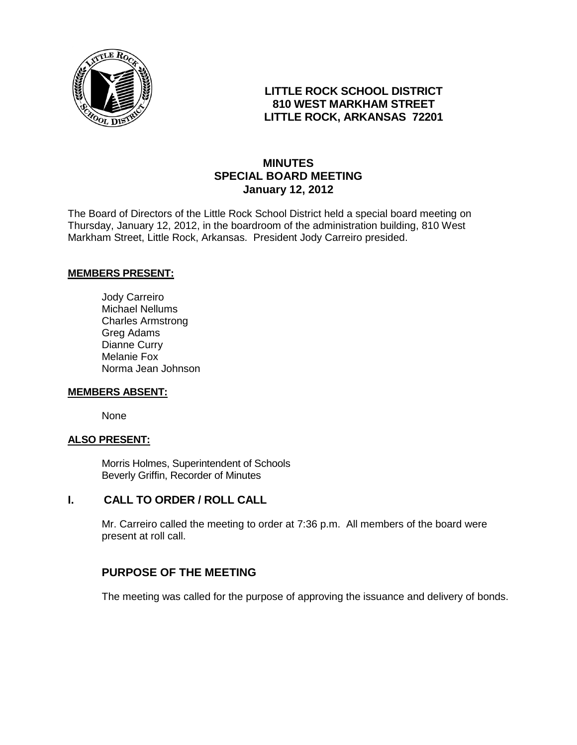

# **LITTLE ROCK SCHOOL DISTRICT 810 WEST MARKHAM STREET LITTLE ROCK, ARKANSAS 72201**

# **MINUTES SPECIAL BOARD MEETING January 12, 2012**

The Board of Directors of the Little Rock School District held a special board meeting on Thursday, January 12, 2012, in the boardroom of the administration building, 810 West Markham Street, Little Rock, Arkansas. President Jody Carreiro presided.

### **MEMBERS PRESENT:**

Jody Carreiro Michael Nellums Charles Armstrong Greg Adams Dianne Curry Melanie Fox Norma Jean Johnson

#### **MEMBERS ABSENT:**

None

### **ALSO PRESENT:**

Morris Holmes, Superintendent of Schools Beverly Griffin, Recorder of Minutes

### **I. CALL TO ORDER / ROLL CALL**

Mr. Carreiro called the meeting to order at 7:36 p.m. All members of the board were present at roll call.

# **PURPOSE OF THE MEETING**

The meeting was called for the purpose of approving the issuance and delivery of bonds.